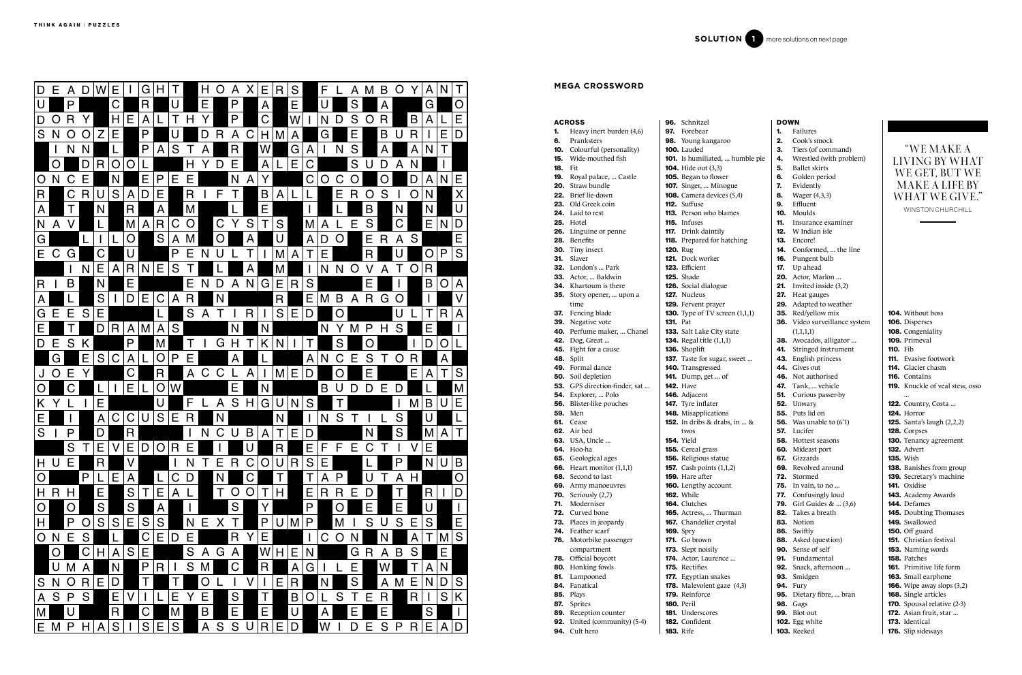94. Cult hero

|            | <b>ACROSS</b>                             |                 | <b>96.</b> Schnitzel                           |
|------------|-------------------------------------------|-----------------|------------------------------------------------|
| 1.         | Heavy inert burden (4,6)                  |                 | 97. Forebear                                   |
| 6.         | Pranksters                                |                 | 98. Young kangar                               |
| 10.        | Colourful (personality)                   |                 | 100. Lauded                                    |
| 15.        | Wide-mouthed fish                         |                 | 101. Is humiliated,                            |
| 18.        | Fit                                       |                 | <b>104.</b> Hide out (3,3)                     |
| 19.        | Royal palace,  Castle                     |                 | 105. Began to flow                             |
|            | 20. Straw bundle<br>22. Brief lie-down    |                 | <b>107.</b> Singer,  Min<br>108. Camera device |
|            | 23. Old Greek coin                        |                 | 112. Suffuse                                   |
|            | <b>24.</b> Laid to rest                   |                 | <b>113.</b> Person who bl                      |
|            | <b>25.</b> Hotel                          |                 | 115. Infuses                                   |
|            | <b>26.</b> Linguine or penne              |                 | 117. Drink daintily                            |
|            | 28. Benefits                              |                 | 118. Prepared for l                            |
|            | 30. Tiny insect                           | <b>120. Rug</b> |                                                |
|            | 31. Slaver                                |                 | <b>121.</b> Dock worker                        |
|            | 32. London's  Park                        |                 | 123. Efficient                                 |
|            | <b>33.</b> Actor,  Baldwin                |                 | <b>125.</b> Shade                              |
|            | <b>34.</b> Khartoum is there              |                 | 126. Social dialogu                            |
| 35.        | Story opener,  upon a                     |                 | <b>127.</b> Nucleus                            |
|            | time                                      |                 | 129. Fervent praye                             |
| 37.        | Fencing blade                             |                 | 130. Type of TV sc                             |
|            | 39. Negative vote                         | <b>131.</b> Pat |                                                |
|            | 40. Perfume maker,  Chanel                |                 | 133. Salt Lake City                            |
|            | <b>42.</b> Dog, Great                     |                 | <b>134.</b> Regal title (1,1                   |
|            | 45. Fight for a cause<br><b>48.</b> Split |                 | 136. Shoplift<br>137. Taste for suga           |
|            | 49. Formal dance                          |                 | <b>140.</b> Transgressed                       |
|            | <b>50.</b> Soil depletion                 |                 | <b>141.</b> Dump, get                          |
|            | 53. GPS direction-finder, sat             |                 | <b>142. Have</b>                               |
|            | <b>54.</b> Explorer,  Polo                |                 | 146. Adjacent                                  |
|            | <b>56.</b> Blister-like pouches           |                 | 147. Tyre inflater                             |
|            | <b>59.</b> Men                            |                 | 148. Misapplicatio                             |
|            | 61. Cease                                 |                 | <b>152.</b> In dribs & dra                     |
|            | 62. Air bed                               |                 | twos                                           |
|            | <b>63.</b> USA, Uncle                     |                 | <b>154.</b> Yield                              |
|            | <b>64.</b> Hoo-ha                         |                 | <b>155.</b> Cereal grass                       |
|            | 65. Geological ages                       |                 | 156. Religious stat                            |
| 66.        | Heart monitor $(1,1,1)$                   |                 | 157. Cash points (1                            |
| 68.        | Second to last                            |                 | 159. Hare after                                |
|            | 69. Army manoeuvres                       |                 | 160. Lengthy accou<br><b>162.</b> While        |
| 70.<br>71. | Seriously (2,7)<br>Moderniser             |                 | 164. Clutches                                  |
| 72.        | Curved bone                               |                 | <b>165.</b> Actress,  The                      |
| 73.        | Places in jeopardy                        |                 | <b>167.</b> Chandelier cr                      |
| 74.        | Feather scarf                             |                 | <b>169.</b> Spry                               |
| 76.        | Motorbike passenger                       |                 | 171. Go brown                                  |
|            | compartment                               |                 | 173. Slept noisily                             |
| 78.        | Official boycott                          |                 | 174. Actor, Lauren                             |
| 80.        | Honking fowls                             |                 | 175. Rectifies                                 |
| 81.        | Lampooned                                 |                 | 177. Egyptian snal                             |
| 84.        | Fanatical                                 |                 | 178. Malevolent ga                             |
| 85.        | Plays                                     |                 | 179. Reinforce                                 |
| 87.        | Sprites                                   |                 | <b>180.</b> Peril                              |
| 89.        | Reception counter                         |                 | <b>181.</b> Underscores                        |
| 92.        | United (community) (5-4)                  |                 | 182. Confident                                 |

| garoo |  |
|-------|--|
|       |  |

ed, ... humble pie  $(3,3)$ ower Minogue

 $vices (5,4)$ 

blames

ntily or hatching

ogue

ayer  $\sigma$  screen  $(1,1,1)$ 

lity state  $(1,1,1)$ 

1gar, sweet ...

... of

tions drabs, in ... &

tatue  $s(1,1,2)$ 

.<br>count

Thurman r crystal

rence ...

nakes  $\text{gaze } (4,3)$ 

183. Rife

# "WE MAKE A LIVING BY WHAT WE GET, BUT WE MAKE A LIFE BY WHAT WE GIVE."

| DOWN |                                  |
|------|----------------------------------|
| 1.   | Failures                         |
| 2.   | Cook's smock                     |
| 3.   | Tiers (of command)               |
| 4.   | Wrestled (with problem)          |
| 5.   | <b>Ballet</b> skirts             |
| 6.   | Golden period                    |
| 7.   | Evidently                        |
| 8.   | Wager (4,3,3)                    |
| 9.   | Effluent                         |
| 10.  | Moulds                           |
| 11.  | Insurance examiner               |
| 12.  | W Indian isle                    |
| 13.  | Encore!                          |
| 14.  | Conformed,  the line             |
| 16.  | Pungent bulb                     |
| 17.  | Up ahead                         |
| 20.  | Actor, Marlon                    |
| 21.  | Invited inside (3,2)             |
| 27.  | Heat gauges                      |
| 29.  | Adapted to weather               |
| 35.  | Red/yellow mix                   |
| 36.  | Video surveillance system        |
| 38.  | (1,1,1,1)<br>Avocados, alligator |
| 41.  | Stringed instrument              |
| 43.  | English princess                 |
| 44.  | Gives out                        |
| 46.  | Not authorised                   |
| 47.  | Tank,  vehicle                   |
| 51.  | Curious passer-by                |
| 52.  | Unwary                           |
| 55.  | Puts lid on                      |
| 56.  | Was unable to (6'1)              |
| 57.  | Lucifer                          |
| 58.  | Hottest seasons                  |
| 60.  | Mideast port                     |
| 67.  | Gizzards                         |
| 69.  | Revolved around                  |
| 72.  | Stormed                          |
| 75.  | In vain, to no                   |
| 77.  | Confusingly loud                 |
| 79.  | Girl Guides &  (3,6)             |
| 82.  | Takes a breath                   |
| 83.  | Notion                           |
|      | 86. Swiftly                      |
|      | 88. Asked (question)             |
|      | 90. Sense of self                |
| 91.  | Fundamental                      |
| 92.  | Snack, afternoon                 |
| 93.  | Smidgen                          |
| 94.  | Fury                             |
| 95.  | Dietary fibre,  bran             |
|      | 98. Gags                         |
| 99.  | <b>Blot</b> out                  |
|      | <b>102.</b> Egg white            |

103. Reeked

104. Without boss 106. Disperses 108. Congeniality 109. Primeval 110. Fib **111.** Evasive footwork 114. Glacier chasm 116. Contains 119. Knuckle of veal stew, osso ... **122.** Country, Costa ... 124. Horror 125. Santa's laugh (2,2,2) 128. Corpses 130. Tenancy agreement 132. Advert 135. Wish 138. Banishes from group 139. Secretary's machine 141. Oxidise 143. Academy Awards 144. Defames 145. Doubting Thomases 149. Swallowed **150.** Off guard 151. Christian festival 153. Naming words 158. Patches 161. Primitive life form 163. Small earphone 166. Wipe away slops (3,2) 168. Single articles 170. Spousal relative (2-3) **172.** Asian fruit, star ... 173. Identical



#### **MEGA CROSSWORD**

WINSTON CHURCHILL

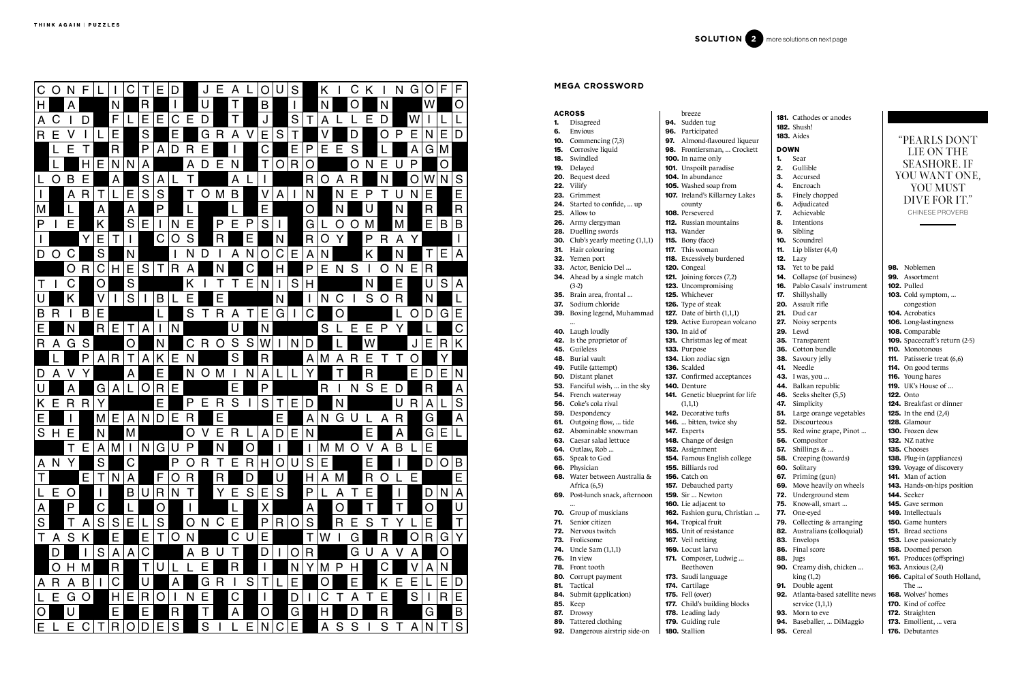### ACROSS

- 1. Disagreed 6. Envious
- 10. Commencing (7,3)
- 15. Corrosive liquid
- 18. Swindled
- 19. Delayed
- 20. Bequest deed
- 22. Vilify
- 23. Grimmest
- 24. Started to confide, ... up
- 25. Allow to
- 26. Army clergyman
- 28. Duelling swords
- **30.** Club's yearly meeting  $(1,1,1)$
- 31. Hair colouring
- 32. Yemen port
- 33. Actor, Benicio Del ...
- **34.** Ahead by a single match
- (3-2)
- 35. Brain area, frontal ...
- 37. Sodium chloride
- 39. Boxing legend, Muhammad
- ... 40. Laugh loudly
- 42. Is the proprietor of
- 45. Guileless
- 48. Burial vault

**50.** Distant planet

- 49. Futile (attempt)
- 136. Scalded 137. Confirmed acceptances
- 53. Fanciful wish, ... in the sky 140. Denture
- **54.** French waterway
- 56. Coke's cola rival
- 59. Despondency
- **61.** Outgoing flow, ... tide
- 62. Abominable snowman
- **63.** Caesar salad lettuce
- 64. Outlaw, Rob ...
- 65. Speak to God
- 66. Physician

113. Wander 115. Bony (face) **117.** This woman

...

- 68. Water between Australia & Africa (6,5) 155. Billiards rod **156.** Catch on 157. Debauched party
	-
- 70. Group of musicians
	-
- 71. Senior citizen 72. Nervous twitch
- 73. Frolicsome
- 74. Uncle Sam (1,1,1)
- 76. In view
- 
- 78. Front tooth
- 
- 
- 69. Post-lunch snack, afternoon
	- 159. Sir ... Newton
		- 160. Lie adjacent to
			- 162. Fashion guru, Christian ...
			- 164. Tropical fruit 165. Unit of resistance
			-
			- 167. Veil netting 169. Locust larva
	- - 171. Composer, Ludwig ... Beethoven
		- 173. Saudi language
		- 174. Cartilage
		- 175. Fell (over)
		- 177. Child's building blocks
		-
		-
		-
		- 180. Stallion
- 92. Dangerous airstrip side-on

85. Keep 87. Drowsy

89. Tattered clothing

breeze 94. Sudden tug 96. Participated

county 108. Persevered

97. Almond-flavoured liqueur 98. Frontiersman, ... Crockett 100. In name only 101. Unspoilt paradise 104. In abundance 105. Washed soap from 107. Ireland's Killarney Lakes 112. Russian mountains 118. Excessively burdened **121.** Joining forces  $(7,2)$ 123. Uncompromising 126. Type of steak **127.** Date of birth  $(1,1,1)$ 129. Active European volcano

120. Congeal

125. Whichever

130. In aid of

- 80. Corrupt payment
- 81. Tactical
- 84. Submit (application)
	- - 178. Leading lady
		- 179. Guiding rule
		-

131. Christmas leg of meat

133. Purpose

 $(1,1,1)$ 

98. Noblemen 99. Assortment 102. Pulled 103. Cold symptom, ... congestion 104. Acrobatics 106. Long-lastingness 108. Comparable 109. Spacecraft's return (2-5) 110. Monotonous 111. Patisserie treat (6,6) 114. On good terms 116. Young hares **119.** UK's House of ... 122. Onto 124. Breakfast or dinner **125.** In the end (2,4) 128. Glamour 130. Frozen dew 132. NZ native 135. Chooses 138. Plug-in (appliances) 139. Voyage of discovery 141. Man of action 143. Hands-on-hips position 144. Seeker 145. Gave sermon 149. Intellectuals 150. Game hunters 151. Bread sections 153. Love passionately 158. Doomed person 161. Produces (offspring) 163. Anxious (2,4) 166. Capital of South Holland, The ... 168. Wolves' homes 170. Kind of coffee 172. Straighten 173. Emollient, ... vera

134. Lion zodiac sign

141. Genetic blueprint for life

142. Decorative tufts 146. ... bitten, twice shy

147. Experts

148. Change of design

152. Assignment

154. Famous English college

|             | <b>181.</b> Cathodes or anodes   |  |  |  |  |  |
|-------------|----------------------------------|--|--|--|--|--|
|             | <b>182.</b> Shush!               |  |  |  |  |  |
|             | 183. Aides                       |  |  |  |  |  |
| <b>DOWN</b> |                                  |  |  |  |  |  |
| 1.          | Sear                             |  |  |  |  |  |
| 2.          | Gullible                         |  |  |  |  |  |
| 3.          | Accursed                         |  |  |  |  |  |
| 4.          | Encroach                         |  |  |  |  |  |
| 5.          | Finely chopped                   |  |  |  |  |  |
| 6.          | Adjudicated                      |  |  |  |  |  |
| 7.          | Achievable                       |  |  |  |  |  |
| 8.          | Intentions                       |  |  |  |  |  |
| 9.          | Sibling                          |  |  |  |  |  |
|             | 10. Scoundrel                    |  |  |  |  |  |
| 11.         | Lip blister $(4,4)$              |  |  |  |  |  |
| 12.         | Lazy                             |  |  |  |  |  |
| 13.         | Yet to be paid                   |  |  |  |  |  |
| 14.         | Collapse (of business)           |  |  |  |  |  |
| 16.         | Pablo Casals' instrument         |  |  |  |  |  |
| 17.         | Shillyshally                     |  |  |  |  |  |
| 20.         | Assault rifle                    |  |  |  |  |  |
| 21.         | Dud car                          |  |  |  |  |  |
| 27.         | Noisy serpents                   |  |  |  |  |  |
| 29.         | Lewd                             |  |  |  |  |  |
| 35.         | Transparent                      |  |  |  |  |  |
|             | 36. Cotton bundle                |  |  |  |  |  |
| 38.         | Savoury jelly                    |  |  |  |  |  |
| 41.         | Needle                           |  |  |  |  |  |
| 43.         | I was, you                       |  |  |  |  |  |
| 44.         | Balkan republic                  |  |  |  |  |  |
| 46.         | Seeks shelter (5,5)              |  |  |  |  |  |
| 47.         | Simplicity                       |  |  |  |  |  |
| 51.         | Large orange vegetables          |  |  |  |  |  |
| 52.         | Discourteous                     |  |  |  |  |  |
|             | <b>55.</b> Red wine grape, Pinot |  |  |  |  |  |
| 56.         | Compositor                       |  |  |  |  |  |
| 57.         | Shillings &                      |  |  |  |  |  |
| 58.         | Creeping (towards)               |  |  |  |  |  |
| 60.         | Solitary                         |  |  |  |  |  |
| 67.         | Priming (gun)                    |  |  |  |  |  |
| 69.         | Move heavily on wheels           |  |  |  |  |  |
| 72.         | Underground stem                 |  |  |  |  |  |
| 75.         | Know-all, smart                  |  |  |  |  |  |
| 77.         | One-eyed                         |  |  |  |  |  |
| 79.         | Collecting & arranging           |  |  |  |  |  |
| 82.         | Australians (colloquial)         |  |  |  |  |  |
| 83.         | Envelops                         |  |  |  |  |  |
| 86.         | Final score                      |  |  |  |  |  |
| 88.         | Jugs                             |  |  |  |  |  |
| 90.         | Creamy dish, chicken             |  |  |  |  |  |
|             | king(1,2)                        |  |  |  |  |  |
| 91.         | Double agent                     |  |  |  |  |  |
| 92.         | Atlanta-based satellite news     |  |  |  |  |  |

service (1,1,1) 93. Morn to eve 94. Baseballer, ... DiMaggio 95. Cereal



#### **MEGA CROSSWORD**

"PEARLS DONT LIE ON THE SEASHORE. IF YOU WANT ONE, YOU MUST DIVE FOR IT." CHINESE PROVERB